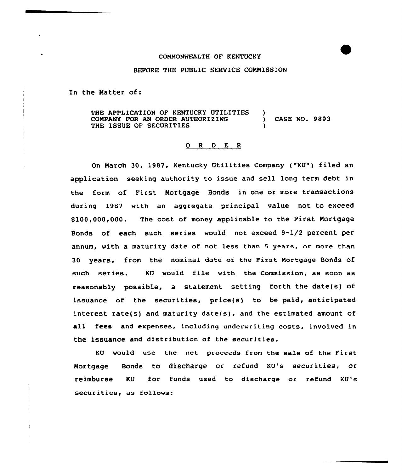## COMMONWEALTH OF KENTUCKY

## BEFORE THE PUBLIC SERVICE COMMISSION

In the Natter of:

THE APPLICATION OF KENTUCKY UTILITIES COMPANY FOR AN ORDER AUTHORIZING THE ISSUE OF SECURITIES ) ) CASE NO. 9893 )

## 0 <sup>R</sup> <sup>D</sup> E <sup>R</sup>

On March 30, 1987, Kentucky Utilities Company ("KU") filed an application seeking authority to issue and sell long term debt in the farm of First Mortgage Bonds in one or more transactions during 1987 with an aggregate principal value not to exceed \$100,000,000. The cost of money applicable to the First Mortgage Bonds of each such series wauld not exceed 9-1/2 percent per annum, with a maturity date of not less than 5 years, or more than 30 years, from the nominal date of the First Mortgage Bonds of such series. KU would file with the Commission, as soon as reasonably possible, a statement setting forth the date(s) of issuance of the securities, price(s) to be paid, anticipated interest rate(s) and maturity date(s), and the estimated amount of all fees and expenses, including underwriting costs, involved in the issuance and distribution of the securities.

KU would use the net proceeds from the sale of the First Mortgage Bonds to discharge or refund KU's securities, or reimburse KU for funds used to discharge or refund KU's securities, as follows: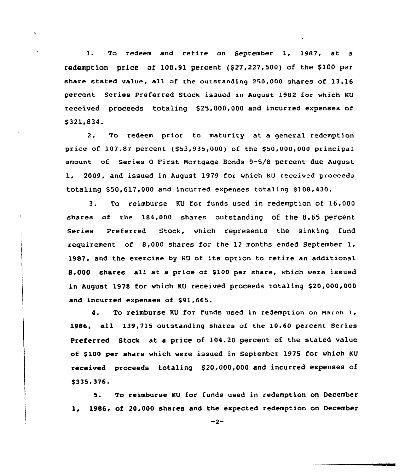1. To redeem and retire on September 1, 1987, at <sup>a</sup> redemption price of  $108.91$  percent  $(527, 227, 500)$  of the \$100 per share stated value, all of the outstanding 250,000 shares of 13.16 percent Series Preferred Stock issued in August 1982 for which KU received proceeds totaling \$25,000,000 and incurred expenses of s321.834.

2. To redeem prior to maturity at a general redemption price of  $107.87$  percent (\$53,935,000) of the \$50,000,000 principal amount of Series 0 First Mortgage Bonds 9-5/8 percent due August 1, 2009, and issued in August 1979 for which KU received proceeds totaling \$50,617,000 and incurred expenses totaling \$108,430.

3. To reimburse KU for funds used in redemption of 16,000 shares of the 184,000 shares outstanding of the 8.65 percent Series Preferred Stock, which represents the sinking fund requirement of 8,000 shares for the 12 months ended September 1, 198I, and the exercise by KU of its option to retire an additional 8,000 shares all at a price of \$100 per share, which were issued in August 1978 for which KU received proceeds totaling \$20,000,000 and incurred expenses of \$91,665.

4. To reimburse KU for funds used in redemption on March 1, 19&6, all 139,715 outstanding shares of the 10.60 percent Series Preferred Stock at a price of 104.20 percent of the stated value of \$100 per share which were issued in September 1975 for which KU received proceeds totaling \$20,000,000 and incurred expenses of \$335,376.

5. To reimburse KU for funds used in redemption on December 1, 1986, of 20,000 shares and the expected redemption on December

 $-2-$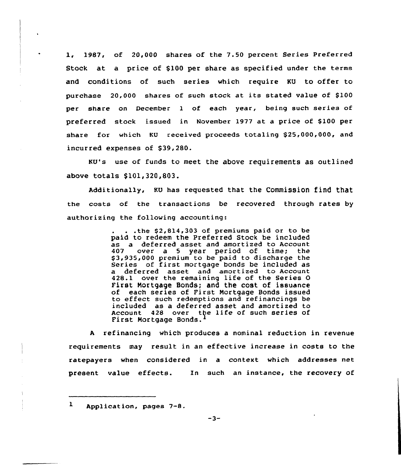1, 1987, of 20,000 shares af the 7.50 percent Series Preferred Stock at a price of \$100 per share as specified under the terms and conditions of such series which require KU to offer to purchase  $20.000$  shares of such stock at its stated value of \$100 per share on December <sup>1</sup> of each year, being such series of preferred stock issued in November 1977 at a price of \$100 per share for which KU received proceeds totaling \$25,000,000, and incurred expenses of \$39,280.

KU's use of funds to meet the above requirements as outlined above totals \$101,320,803.

Additionally, KU has requested that the Commission find that the costs of the transactions be recovered through rates by authorizing the following accounting:

> . . the  $$2,814,303$  of premiums paid or to be paid to redeem the Preferred Stock be included as a deferred asset and amortized to Account 407 over a 5 year period of time; the \$3,935,000 premium to be paid to discharge the Series of first mortgage bonds be included as a deferred asset and amortized to Account 428.1 aver the remaining life of the Series 0 First Mortgage Bonds; and the cost of issuance of each series of First Mortgage Bonds issued to effect such redemptions and refinancings be included as a deferred asset and amortized to Account 428 over the life of such series of First Mortgage Bonds.

<sup>A</sup> refinancing which produces a nominal reduction in revenue requirements may result in an effective increase in costs to the ratepayers when considered in a context which addresses net present value effects. 1n such an instance, the recovery of

ı Application, pages 7-8.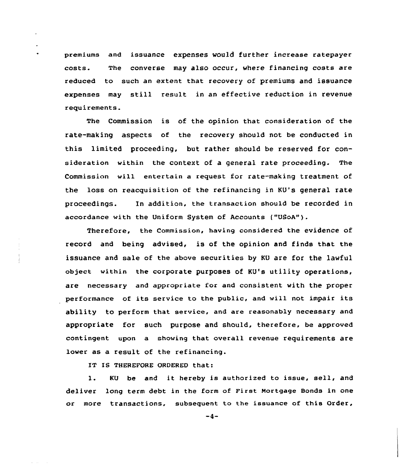premiums and issuance expenses would further increase ratepayer costs. The converse may also occur, where financing costs are reduced to such an extent that recovery of premiums and issuance expenses may still result in an effective reduction in revenue requirements.

The Commission is of the opinion that consideration of the rate-making aspects of the recovery should not be conducted in this limited proceeding, but rather should be reserved for consideration within the context of a general rate proceeding. The Commission will entertain a request for rate-making treatment of the loss on reacquisition of the refinancing in KU's general rate proceedings. In addition, the transaction should be recorded in accordance with the Uniform System of Accounts ("USoA").

Therefore, the Commission, having considered the evidence of record and being advised, is of the opinion and finds that the issuance and sale of the above securities by KU are for the lawful object within the corporate purposes of KU's utility operations, are necessary and appropriate for and consistent with the proper performance of its service to the public, and will not impair its ability to perform that service, and are reasonably necessary and appropriate for such purpose and should, therefore, be approved contingent upon a showing that overall revenue requirements are lower as a result of the refinancing.

IT IS THEREFORE ORDERED that:

l. KU be and it hereby is authorized to issue, sell, and deliver long term debt in the form of First Mortgage Bonds in one or more transactions, subsequent to the issuance of this Order,

 $-4-$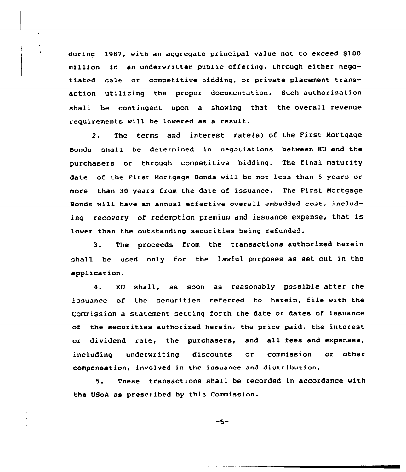during 1987, with an aggregate principal value not to exceed \$100 million in an underwritten public offering, through either negotiated sale or competitive bidding, or private placement transaction utilizing the proper documentation. Such authorization shall be contingent upon a shoving that the overall revenue requirements will be lowered as a result.

2. The terms and interest rate(s) of the First Mortgage Bonds shall be determined in negotiations between KU and the purchasers or through competitive bidding. The final maturity date of the First Mortgage Bonds vill be not less than <sup>5</sup> years or more than 30 years from the date of issuance. The First Mortgage Bonds will have an annual effective overall embedded cost, including recovery of redemption premium and issuance expense, that is lower than the outstanding securities being refunded.

3. The proceeds from the transactions authorized herein shall be used only for the lavful purposes as set out in the application.

4. KU shall, as soon as reasonably possible after the issuance of the securities referred to herein, file vith the Commission a statement setting forth the date or dates of issuance of the securities authorized herein, the price paid, the interest or dividend rate, the purchasers, and all fees and expenses, including underwriting discounts or commission or other compensation< involved In the issuance and distribution.

5. These transactions shall be recorded in accordance with the USoA as prescribed by this Commission.

 $-5-$